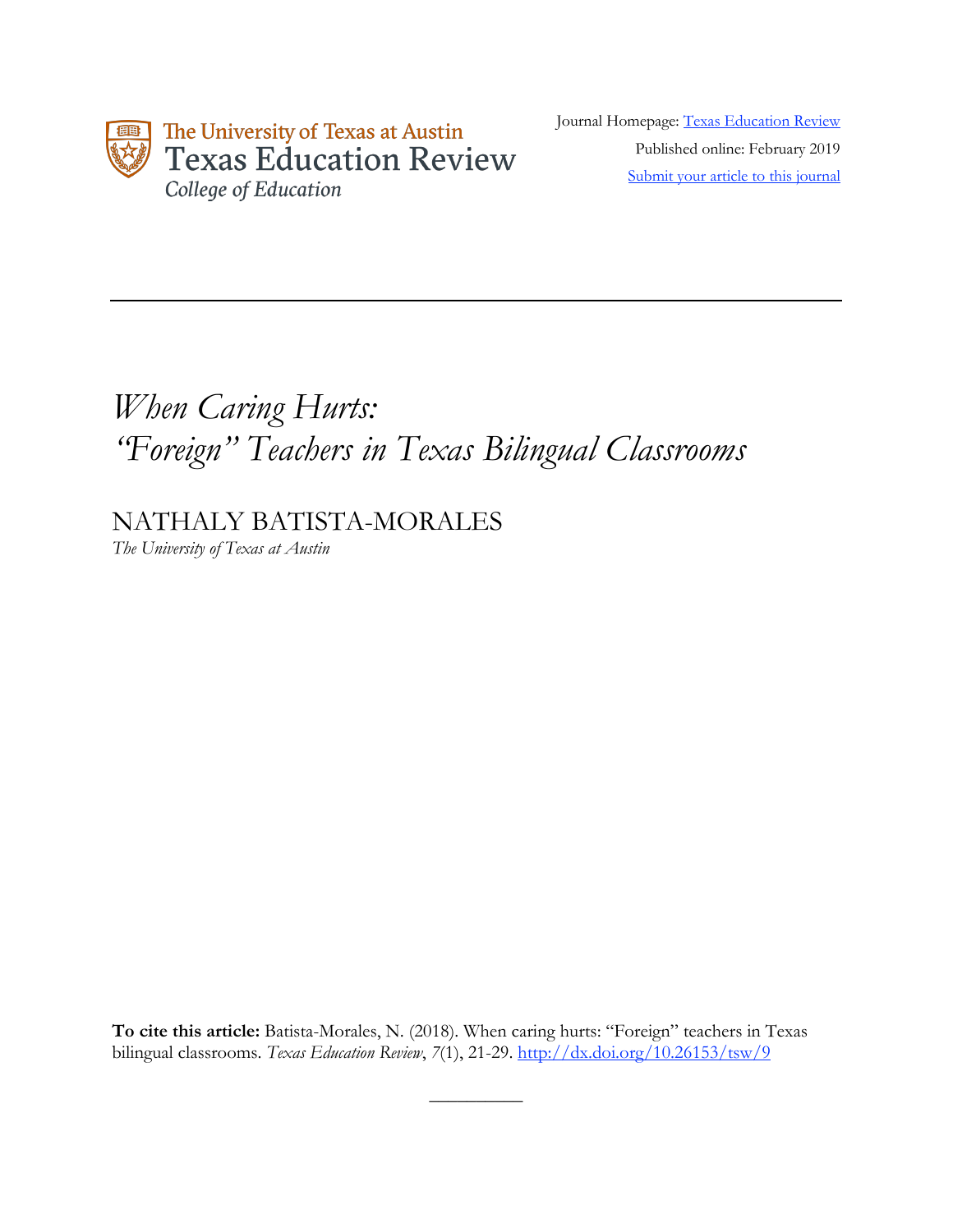

Journal Homepage: Texas Education Review Published online: February 2019 Submit your article to this journal

# *When Caring Hurts: "Foreign" Teachers in Texas Bilingual Classrooms*

NATHALY BATISTA-MORALES

*The University of Texas at Austin*

**To cite this article:** Batista-Morales, N. (2018). When caring hurts: "Foreign" teachers in Texas bilingual classrooms. *Texas Education Review*, *7*(1), 21-29. http://dx.doi.org/10.26153/tsw/9

 $\overline{\phantom{a}}$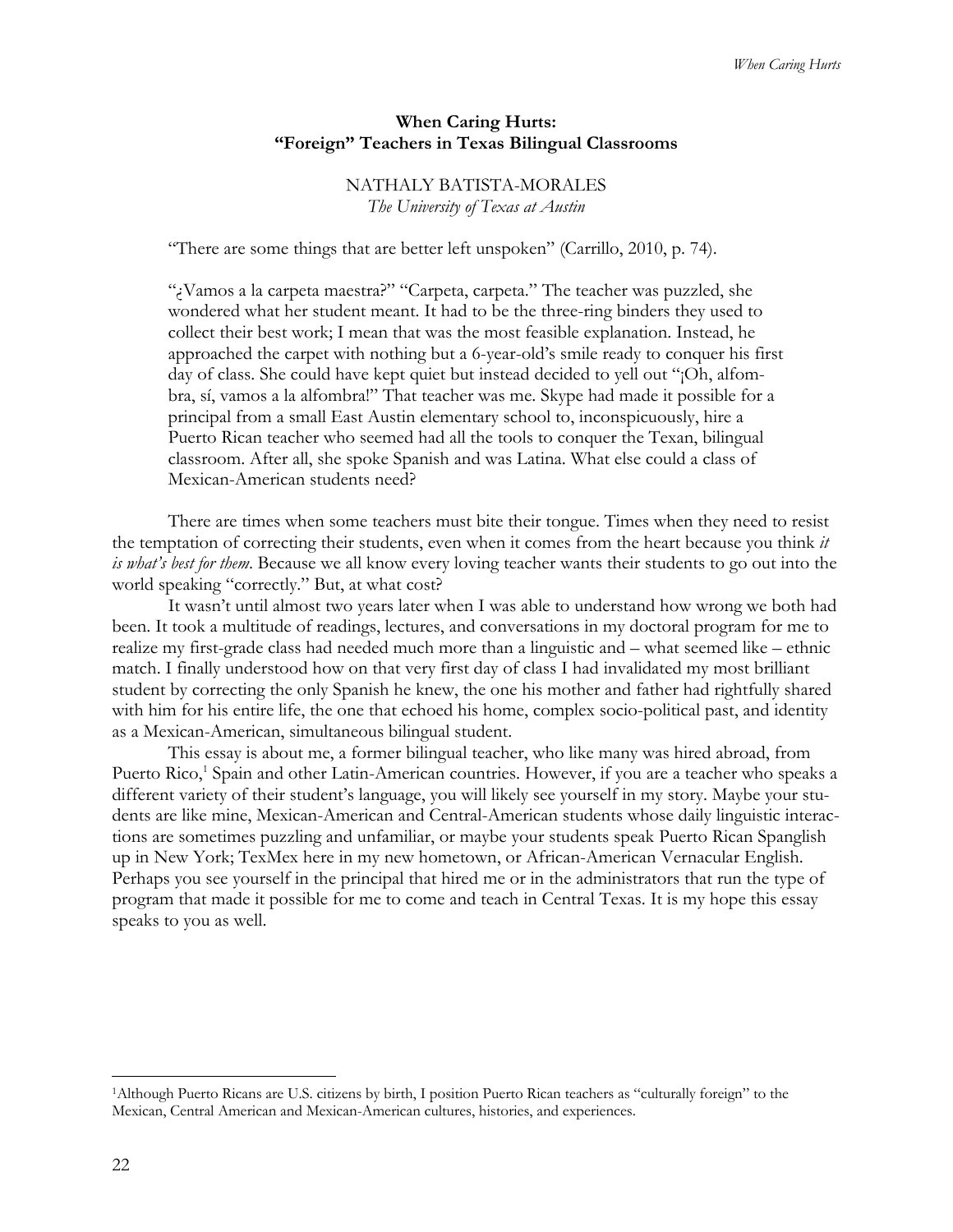# **When Caring Hurts: "Foreign" Teachers in Texas Bilingual Classrooms**

# NATHALY BATISTA-MORALES *The University of Texas at Austin*

"There are some things that are better left unspoken" (Carrillo, 2010, p. 74).

"¿Vamos a la carpeta maestra?" "Carpeta, carpeta." The teacher was puzzled, she wondered what her student meant. It had to be the three-ring binders they used to collect their best work; I mean that was the most feasible explanation. Instead, he approached the carpet with nothing but a 6-year-old's smile ready to conquer his first day of class. She could have kept quiet but instead decided to yell out "¡Oh, alfombra, sí, vamos a la alfombra!" That teacher was me. Skype had made it possible for a principal from a small East Austin elementary school to, inconspicuously, hire a Puerto Rican teacher who seemed had all the tools to conquer the Texan, bilingual classroom. After all, she spoke Spanish and was Latina. What else could a class of Mexican-American students need?

There are times when some teachers must bite their tongue. Times when they need to resist the temptation of correcting their students, even when it comes from the heart because you think *it is what's best for them*. Because we all know every loving teacher wants their students to go out into the world speaking "correctly." But, at what cost?

It wasn't until almost two years later when I was able to understand how wrong we both had been. It took a multitude of readings, lectures, and conversations in my doctoral program for me to realize my first-grade class had needed much more than a linguistic and – what seemed like – ethnic match. I finally understood how on that very first day of class I had invalidated my most brilliant student by correcting the only Spanish he knew, the one his mother and father had rightfully shared with him for his entire life, the one that echoed his home, complex socio-political past, and identity as a Mexican-American, simultaneous bilingual student.

This essay is about me, a former bilingual teacher, who like many was hired abroad, from Puerto Rico,<sup>1</sup> Spain and other Latin-American countries. However, if you are a teacher who speaks a different variety of their student's language, you will likely see yourself in my story. Maybe your students are like mine, Mexican-American and Central-American students whose daily linguistic interactions are sometimes puzzling and unfamiliar, or maybe your students speak Puerto Rican Spanglish up in New York; TexMex here in my new hometown, or African-American Vernacular English. Perhaps you see yourself in the principal that hired me or in the administrators that run the type of program that made it possible for me to come and teach in Central Texas. It is my hope this essay speaks to you as well.

 $\overline{\phantom{a}}$ 

<sup>1</sup>Although Puerto Ricans are U.S. citizens by birth, I position Puerto Rican teachers as "culturally foreign" to the Mexican, Central American and Mexican-American cultures, histories, and experiences.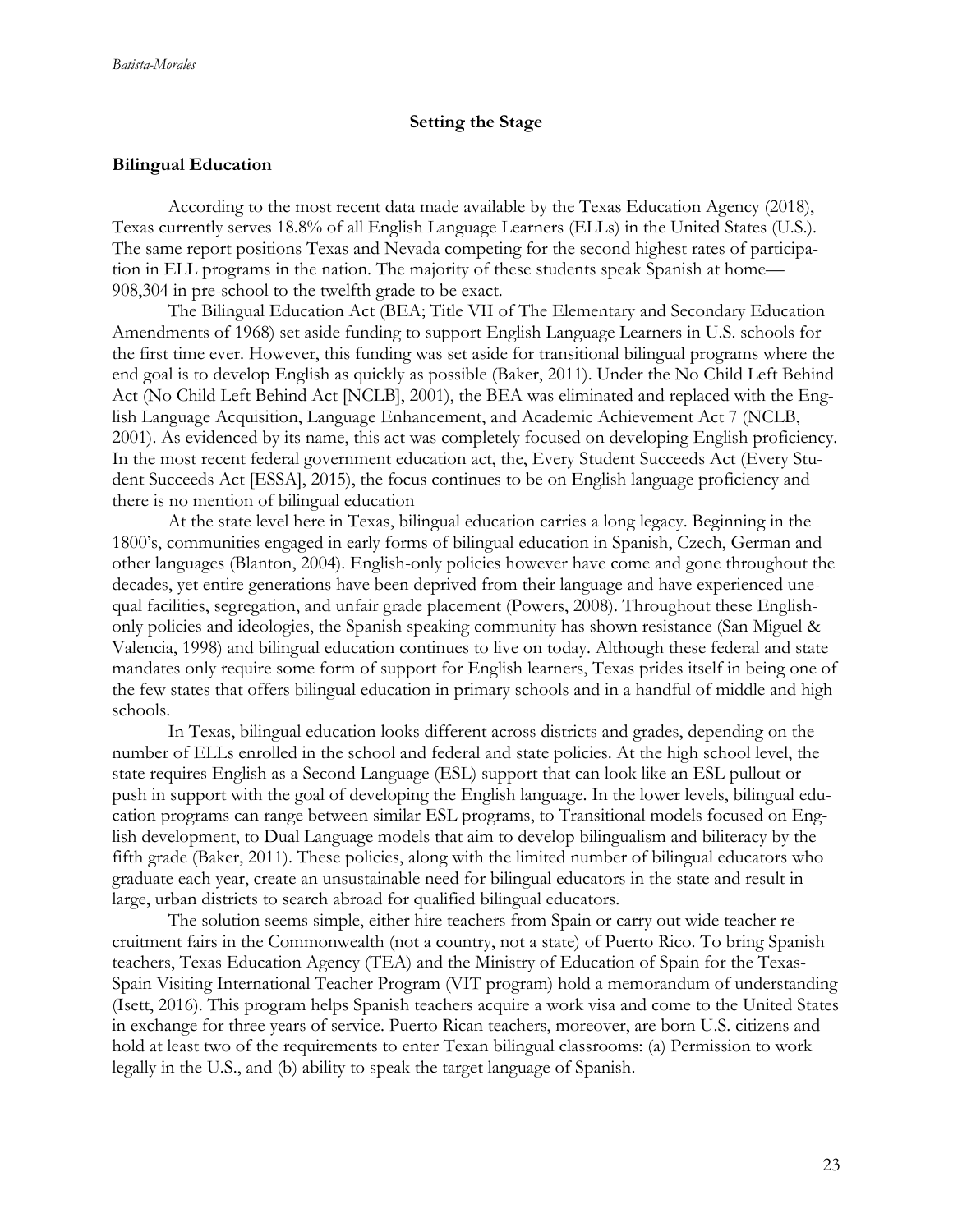## **Setting the Stage**

## **Bilingual Education**

According to the most recent data made available by the Texas Education Agency (2018), Texas currently serves 18.8% of all English Language Learners (ELLs) in the United States (U.S.). The same report positions Texas and Nevada competing for the second highest rates of participation in ELL programs in the nation. The majority of these students speak Spanish at home— 908,304 in pre-school to the twelfth grade to be exact.

The Bilingual Education Act (BEA; Title VII of The Elementary and Secondary Education Amendments of 1968) set aside funding to support English Language Learners in U.S. schools for the first time ever. However, this funding was set aside for transitional bilingual programs where the end goal is to develop English as quickly as possible (Baker, 2011). Under the No Child Left Behind Act (No Child Left Behind Act [NCLB], 2001), the BEA was eliminated and replaced with the English Language Acquisition, Language Enhancement, and Academic Achievement Act 7 (NCLB, 2001). As evidenced by its name, this act was completely focused on developing English proficiency. In the most recent federal government education act, the, Every Student Succeeds Act (Every Student Succeeds Act [ESSA], 2015), the focus continues to be on English language proficiency and there is no mention of bilingual education

At the state level here in Texas, bilingual education carries a long legacy. Beginning in the 1800's, communities engaged in early forms of bilingual education in Spanish, Czech, German and other languages (Blanton, 2004). English-only policies however have come and gone throughout the decades, yet entire generations have been deprived from their language and have experienced unequal facilities, segregation, and unfair grade placement (Powers, 2008). Throughout these Englishonly policies and ideologies, the Spanish speaking community has shown resistance (San Miguel & Valencia, 1998) and bilingual education continues to live on today. Although these federal and state mandates only require some form of support for English learners, Texas prides itself in being one of the few states that offers bilingual education in primary schools and in a handful of middle and high schools.

In Texas, bilingual education looks different across districts and grades, depending on the number of ELLs enrolled in the school and federal and state policies. At the high school level, the state requires English as a Second Language (ESL) support that can look like an ESL pullout or push in support with the goal of developing the English language. In the lower levels, bilingual education programs can range between similar ESL programs, to Transitional models focused on English development, to Dual Language models that aim to develop bilingualism and biliteracy by the fifth grade (Baker, 2011). These policies, along with the limited number of bilingual educators who graduate each year, create an unsustainable need for bilingual educators in the state and result in large, urban districts to search abroad for qualified bilingual educators.

The solution seems simple, either hire teachers from Spain or carry out wide teacher recruitment fairs in the Commonwealth (not a country, not a state) of Puerto Rico. To bring Spanish teachers, Texas Education Agency (TEA) and the Ministry of Education of Spain for the Texas-Spain Visiting International Teacher Program (VIT program) hold a memorandum of understanding (Isett, 2016). This program helps Spanish teachers acquire a work visa and come to the United States in exchange for three years of service. Puerto Rican teachers, moreover, are born U.S. citizens and hold at least two of the requirements to enter Texan bilingual classrooms: (a) Permission to work legally in the U.S., and (b) ability to speak the target language of Spanish.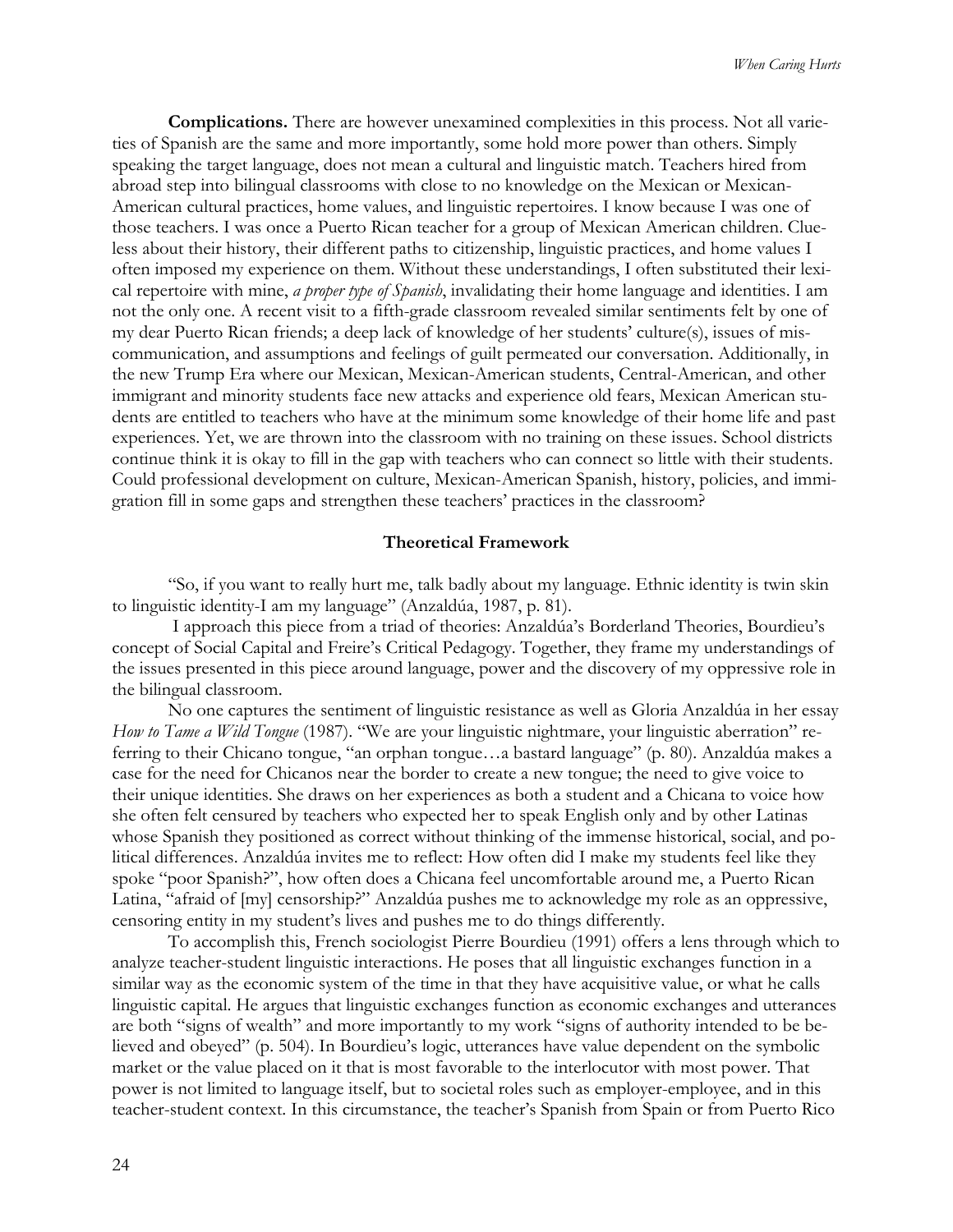**Complications.** There are however unexamined complexities in this process. Not all varieties of Spanish are the same and more importantly, some hold more power than others. Simply speaking the target language, does not mean a cultural and linguistic match. Teachers hired from abroad step into bilingual classrooms with close to no knowledge on the Mexican or Mexican-American cultural practices, home values, and linguistic repertoires. I know because I was one of those teachers. I was once a Puerto Rican teacher for a group of Mexican American children. Clueless about their history, their different paths to citizenship, linguistic practices, and home values I often imposed my experience on them. Without these understandings, I often substituted their lexical repertoire with mine, *a proper type of Spanish*, invalidating their home language and identities. I am not the only one. A recent visit to a fifth-grade classroom revealed similar sentiments felt by one of my dear Puerto Rican friends; a deep lack of knowledge of her students' culture(s), issues of miscommunication, and assumptions and feelings of guilt permeated our conversation. Additionally, in the new Trump Era where our Mexican, Mexican-American students, Central-American, and other immigrant and minority students face new attacks and experience old fears, Mexican American students are entitled to teachers who have at the minimum some knowledge of their home life and past experiences. Yet, we are thrown into the classroom with no training on these issues. School districts continue think it is okay to fill in the gap with teachers who can connect so little with their students. Could professional development on culture, Mexican-American Spanish, history, policies, and immigration fill in some gaps and strengthen these teachers' practices in the classroom?

#### **Theoretical Framework**

"So, if you want to really hurt me, talk badly about my language. Ethnic identity is twin skin to linguistic identity-I am my language" (Anzaldúa, 1987, p. 81).

I approach this piece from a triad of theories: Anzaldúa's Borderland Theories, Bourdieu's concept of Social Capital and Freire's Critical Pedagogy. Together, they frame my understandings of the issues presented in this piece around language, power and the discovery of my oppressive role in the bilingual classroom.

No one captures the sentiment of linguistic resistance as well as Gloria Anzaldúa in her essay *How to Tame a Wild Tongue* (1987). "We are your linguistic nightmare, your linguistic aberration" referring to their Chicano tongue, "an orphan tongue…a bastard language" (p. 80). Anzaldúa makes a case for the need for Chicanos near the border to create a new tongue; the need to give voice to their unique identities. She draws on her experiences as both a student and a Chicana to voice how she often felt censured by teachers who expected her to speak English only and by other Latinas whose Spanish they positioned as correct without thinking of the immense historical, social, and political differences. Anzaldúa invites me to reflect: How often did I make my students feel like they spoke "poor Spanish?", how often does a Chicana feel uncomfortable around me, a Puerto Rican Latina, "afraid of [my] censorship?" Anzaldúa pushes me to acknowledge my role as an oppressive, censoring entity in my student's lives and pushes me to do things differently.

To accomplish this, French sociologist Pierre Bourdieu (1991) offers a lens through which to analyze teacher-student linguistic interactions. He poses that all linguistic exchanges function in a similar way as the economic system of the time in that they have acquisitive value, or what he calls linguistic capital. He argues that linguistic exchanges function as economic exchanges and utterances are both "signs of wealth" and more importantly to my work "signs of authority intended to be believed and obeyed" (p. 504). In Bourdieu's logic, utterances have value dependent on the symbolic market or the value placed on it that is most favorable to the interlocutor with most power. That power is not limited to language itself, but to societal roles such as employer-employee, and in this teacher-student context. In this circumstance, the teacher's Spanish from Spain or from Puerto Rico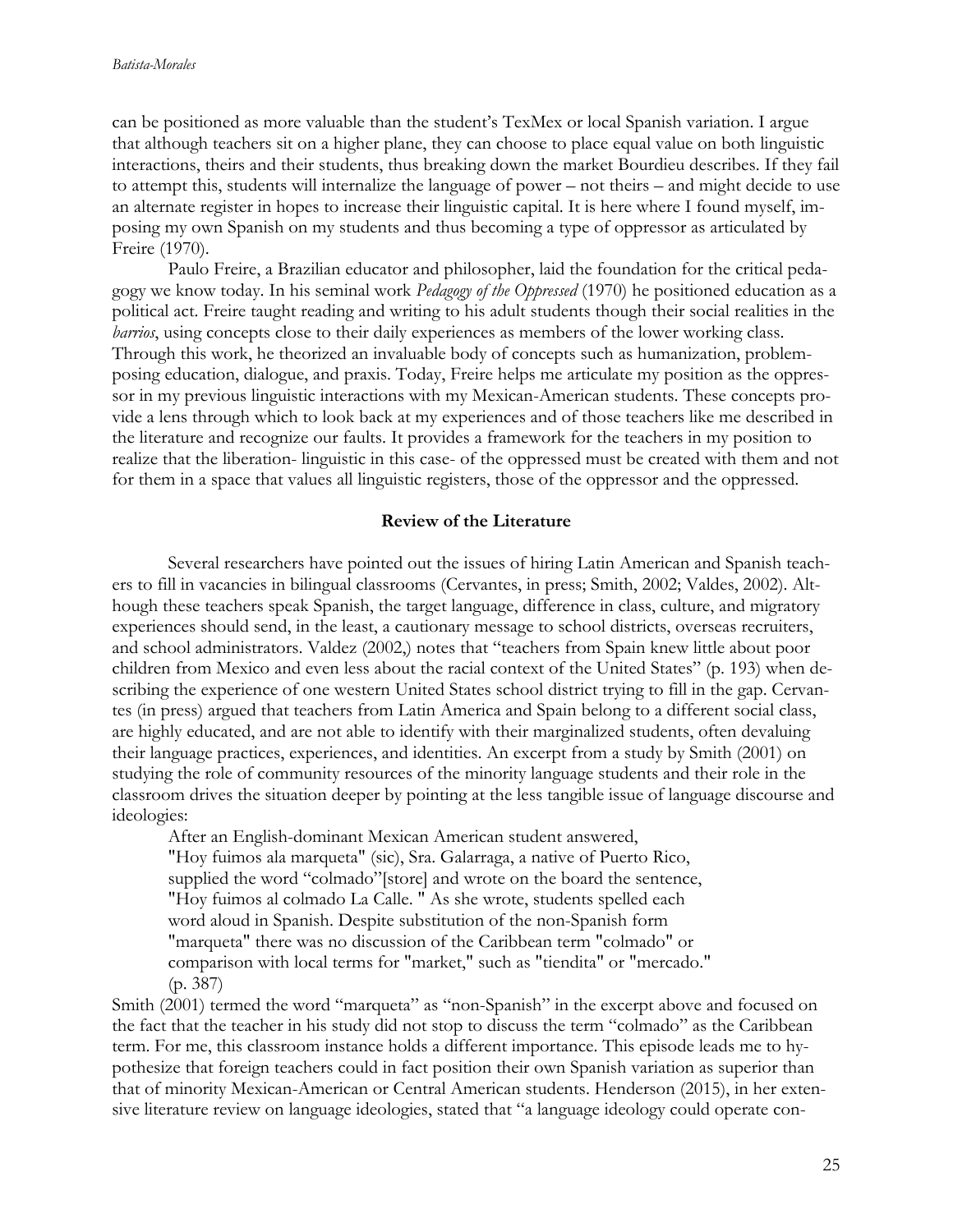can be positioned as more valuable than the student's TexMex or local Spanish variation. I argue that although teachers sit on a higher plane, they can choose to place equal value on both linguistic interactions, theirs and their students, thus breaking down the market Bourdieu describes. If they fail to attempt this, students will internalize the language of power – not theirs – and might decide to use an alternate register in hopes to increase their linguistic capital. It is here where I found myself, imposing my own Spanish on my students and thus becoming a type of oppressor as articulated by Freire (1970).

Paulo Freire, a Brazilian educator and philosopher, laid the foundation for the critical pedagogy we know today. In his seminal work *Pedagogy of the Oppressed* (1970) he positioned education as a political act. Freire taught reading and writing to his adult students though their social realities in the *barrios*, using concepts close to their daily experiences as members of the lower working class. Through this work, he theorized an invaluable body of concepts such as humanization, problemposing education, dialogue, and praxis. Today, Freire helps me articulate my position as the oppressor in my previous linguistic interactions with my Mexican-American students. These concepts provide a lens through which to look back at my experiences and of those teachers like me described in the literature and recognize our faults. It provides a framework for the teachers in my position to realize that the liberation- linguistic in this case- of the oppressed must be created with them and not for them in a space that values all linguistic registers, those of the oppressor and the oppressed.

## **Review of the Literature**

Several researchers have pointed out the issues of hiring Latin American and Spanish teachers to fill in vacancies in bilingual classrooms (Cervantes, in press; Smith, 2002; Valdes, 2002). Although these teachers speak Spanish, the target language, difference in class, culture, and migratory experiences should send, in the least, a cautionary message to school districts, overseas recruiters, and school administrators. Valdez (2002,) notes that "teachers from Spain knew little about poor children from Mexico and even less about the racial context of the United States" (p. 193) when describing the experience of one western United States school district trying to fill in the gap. Cervantes (in press) argued that teachers from Latin America and Spain belong to a different social class, are highly educated, and are not able to identify with their marginalized students, often devaluing their language practices, experiences, and identities. An excerpt from a study by Smith (2001) on studying the role of community resources of the minority language students and their role in the classroom drives the situation deeper by pointing at the less tangible issue of language discourse and ideologies:

After an English-dominant Mexican American student answered, "Hoy fuimos ala marqueta" (sic), Sra. Galarraga, a native of Puerto Rico, supplied the word "colmado"[store] and wrote on the board the sentence, "Hoy fuimos al colmado La Calle. " As she wrote, students spelled each word aloud in Spanish. Despite substitution of the non-Spanish form "marqueta" there was no discussion of the Caribbean term "colmado" or comparison with local terms for "market," such as "tiendita" or "mercado." (p. 387)

Smith (2001) termed the word "marqueta" as "non-Spanish" in the excerpt above and focused on the fact that the teacher in his study did not stop to discuss the term "colmado" as the Caribbean term. For me, this classroom instance holds a different importance. This episode leads me to hypothesize that foreign teachers could in fact position their own Spanish variation as superior than that of minority Mexican-American or Central American students. Henderson (2015), in her extensive literature review on language ideologies, stated that "a language ideology could operate con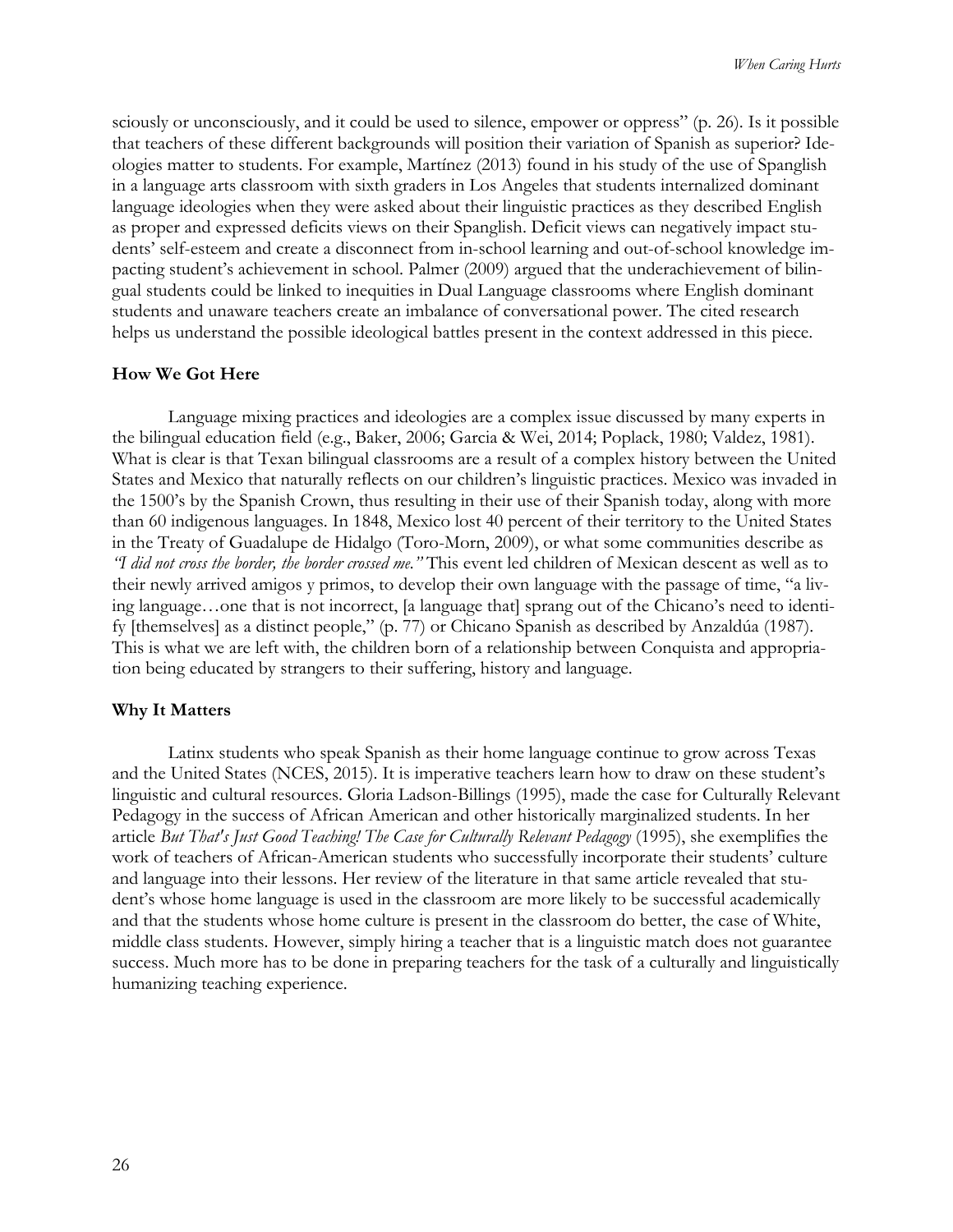sciously or unconsciously, and it could be used to silence, empower or oppress" (p. 26). Is it possible that teachers of these different backgrounds will position their variation of Spanish as superior? Ideologies matter to students. For example, Martínez (2013) found in his study of the use of Spanglish in a language arts classroom with sixth graders in Los Angeles that students internalized dominant language ideologies when they were asked about their linguistic practices as they described English as proper and expressed deficits views on their Spanglish. Deficit views can negatively impact students' self-esteem and create a disconnect from in-school learning and out-of-school knowledge impacting student's achievement in school. Palmer (2009) argued that the underachievement of bilingual students could be linked to inequities in Dual Language classrooms where English dominant students and unaware teachers create an imbalance of conversational power. The cited research helps us understand the possible ideological battles present in the context addressed in this piece.

#### **How We Got Here**

Language mixing practices and ideologies are a complex issue discussed by many experts in the bilingual education field (e.g., Baker, 2006; Garcia & Wei, 2014; Poplack, 1980; Valdez, 1981). What is clear is that Texan bilingual classrooms are a result of a complex history between the United States and Mexico that naturally reflects on our children's linguistic practices. Mexico was invaded in the 1500's by the Spanish Crown, thus resulting in their use of their Spanish today, along with more than 60 indigenous languages. In 1848, Mexico lost 40 percent of their territory to the United States in the Treaty of Guadalupe de Hidalgo (Toro-Morn, 2009), or what some communities describe as *"I did not cross the border, the border crossed me."* This event led children of Mexican descent as well as to their newly arrived amigos y primos, to develop their own language with the passage of time, "a living language…one that is not incorrect, [a language that] sprang out of the Chicano's need to identify [themselves] as a distinct people," (p. 77) or Chicano Spanish as described by Anzaldúa (1987). This is what we are left with, the children born of a relationship between Conquista and appropriation being educated by strangers to their suffering, history and language.

#### **Why It Matters**

Latinx students who speak Spanish as their home language continue to grow across Texas and the United States (NCES, 2015). It is imperative teachers learn how to draw on these student's linguistic and cultural resources. Gloria Ladson-Billings (1995), made the case for Culturally Relevant Pedagogy in the success of African American and other historically marginalized students. In her article *But That's Just Good Teaching! The Case for Culturally Relevant Pedagogy* (1995), she exemplifies the work of teachers of African-American students who successfully incorporate their students' culture and language into their lessons. Her review of the literature in that same article revealed that student's whose home language is used in the classroom are more likely to be successful academically and that the students whose home culture is present in the classroom do better, the case of White, middle class students. However, simply hiring a teacher that is a linguistic match does not guarantee success. Much more has to be done in preparing teachers for the task of a culturally and linguistically humanizing teaching experience.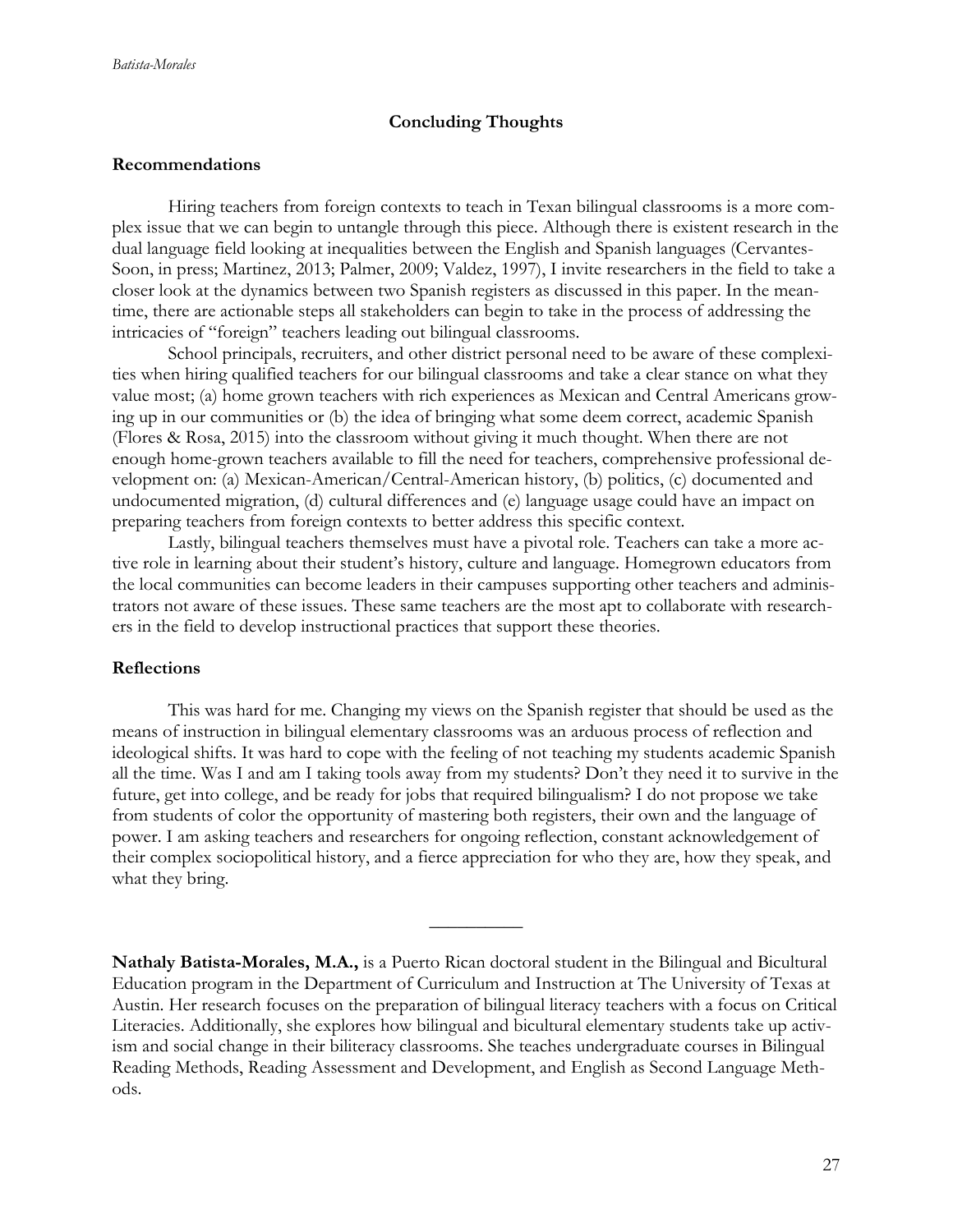## **Concluding Thoughts**

#### **Recommendations**

Hiring teachers from foreign contexts to teach in Texan bilingual classrooms is a more complex issue that we can begin to untangle through this piece. Although there is existent research in the dual language field looking at inequalities between the English and Spanish languages (Cervantes-Soon, in press; Martinez, 2013; Palmer, 2009; Valdez, 1997), I invite researchers in the field to take a closer look at the dynamics between two Spanish registers as discussed in this paper. In the meantime, there are actionable steps all stakeholders can begin to take in the process of addressing the intricacies of "foreign" teachers leading out bilingual classrooms.

School principals, recruiters, and other district personal need to be aware of these complexities when hiring qualified teachers for our bilingual classrooms and take a clear stance on what they value most; (a) home grown teachers with rich experiences as Mexican and Central Americans growing up in our communities or (b) the idea of bringing what some deem correct, academic Spanish (Flores & Rosa, 2015) into the classroom without giving it much thought. When there are not enough home-grown teachers available to fill the need for teachers, comprehensive professional development on: (a) Mexican-American/Central-American history, (b) politics, (c) documented and undocumented migration, (d) cultural differences and (e) language usage could have an impact on preparing teachers from foreign contexts to better address this specific context.

Lastly, bilingual teachers themselves must have a pivotal role. Teachers can take a more active role in learning about their student's history, culture and language. Homegrown educators from the local communities can become leaders in their campuses supporting other teachers and administrators not aware of these issues. These same teachers are the most apt to collaborate with researchers in the field to develop instructional practices that support these theories.

## **Reflections**

This was hard for me. Changing my views on the Spanish register that should be used as the means of instruction in bilingual elementary classrooms was an arduous process of reflection and ideological shifts. It was hard to cope with the feeling of not teaching my students academic Spanish all the time. Was I and am I taking tools away from my students? Don't they need it to survive in the future, get into college, and be ready for jobs that required bilingualism? I do not propose we take from students of color the opportunity of mastering both registers, their own and the language of power. I am asking teachers and researchers for ongoing reflection, constant acknowledgement of their complex sociopolitical history, and a fierce appreciation for who they are, how they speak, and what they bring.

**Nathaly Batista-Morales, M.A.,** is a Puerto Rican doctoral student in the Bilingual and Bicultural Education program in the Department of Curriculum and Instruction at The University of Texas at Austin. Her research focuses on the preparation of bilingual literacy teachers with a focus on Critical Literacies. Additionally, she explores how bilingual and bicultural elementary students take up activism and social change in their biliteracy classrooms. She teaches undergraduate courses in Bilingual Reading Methods, Reading Assessment and Development, and English as Second Language Methods.

 $\overline{\phantom{a}}$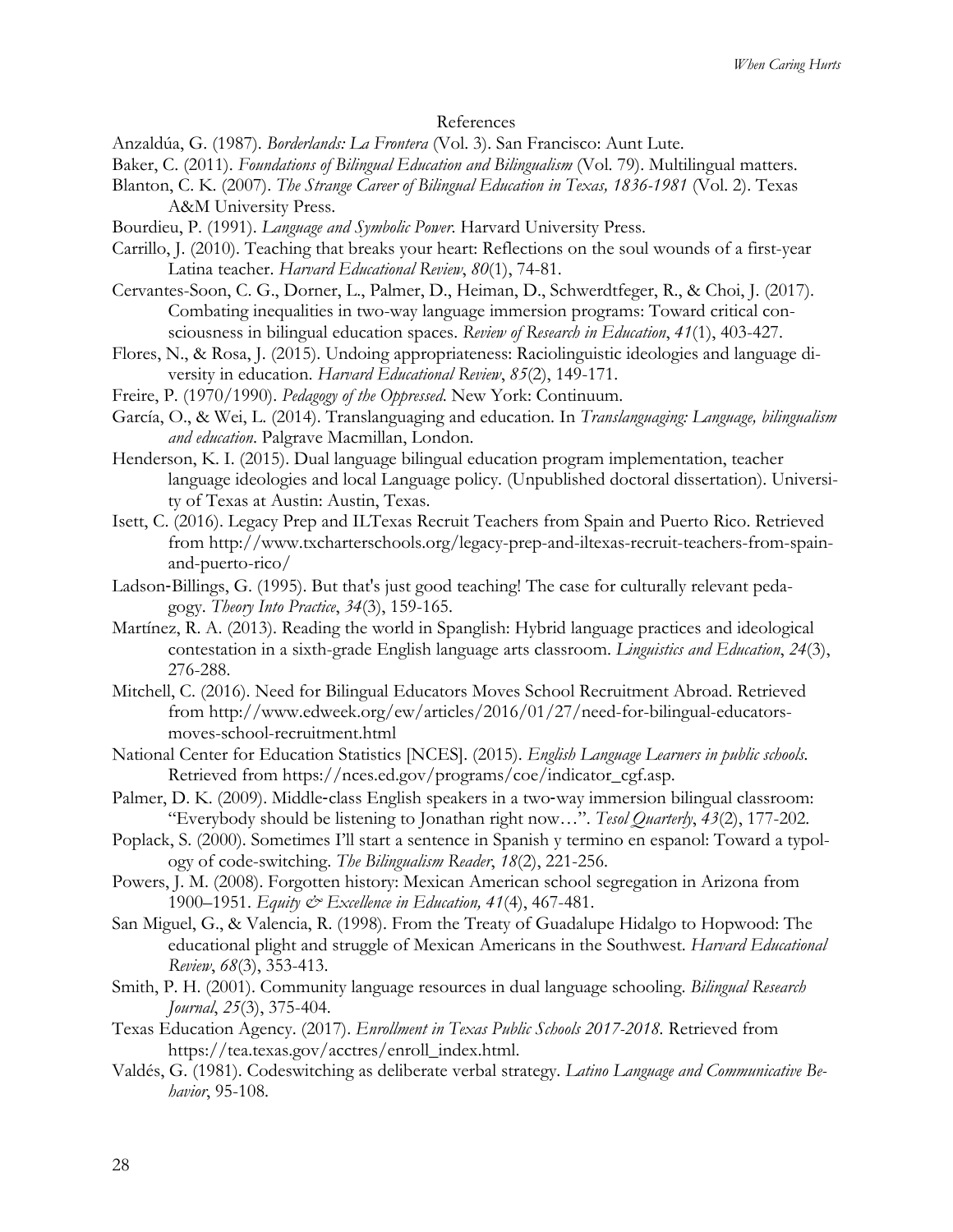## References

Anzaldúa, G. (1987). *Borderlands: La Frontera* (Vol. 3). San Francisco: Aunt Lute.

- Baker, C. (2011). *Foundations of Bilingual Education and Bilingualism* (Vol. 79). Multilingual matters.
- Blanton, C. K. (2007). *The Strange Career of Bilingual Education in Texas, 1836-1981* (Vol. 2). Texas

A&M University Press.

- Bourdieu, P. (1991). *Language and Symbolic Power*. Harvard University Press.
- Carrillo, J. (2010). Teaching that breaks your heart: Reflections on the soul wounds of a first-year Latina teacher. *Harvard Educational Review*, *80*(1), 74-81.
- Cervantes-Soon, C. G., Dorner, L., Palmer, D., Heiman, D., Schwerdtfeger, R., & Choi, J. (2017). Combating inequalities in two-way language immersion programs: Toward critical consciousness in bilingual education spaces. *Review of Research in Education*, *41*(1), 403-427.
- Flores, N., & Rosa, J. (2015). Undoing appropriateness: Raciolinguistic ideologies and language diversity in education. *Harvard Educational Review*, *85*(2), 149-171.
- Freire, P. (1970/1990). *Pedagogy of the Oppressed*. New York: Continuum.
- García, O., & Wei, L. (2014). Translanguaging and education. In *Translanguaging: Language, bilingualism and education*. Palgrave Macmillan, London.
- Henderson, K. I. (2015). Dual language bilingual education program implementation, teacher language ideologies and local Language policy. (Unpublished doctoral dissertation). University of Texas at Austin: Austin, Texas.
- Isett, C. (2016). Legacy Prep and ILTexas Recruit Teachers from Spain and Puerto Rico. Retrieved from http://www.txcharterschools.org/legacy-prep-and-iltexas-recruit-teachers-from-spainand-puerto-rico/
- Ladson-Billings, G. (1995). But that's just good teaching! The case for culturally relevant pedagogy. *Theory Into Practice*, *34*(3), 159-165.
- Martínez, R. A. (2013). Reading the world in Spanglish: Hybrid language practices and ideological contestation in a sixth-grade English language arts classroom. *Linguistics and Education*, *24*(3), 276-288.
- Mitchell, C. (2016). Need for Bilingual Educators Moves School Recruitment Abroad. Retrieved from http://www.edweek.org/ew/articles/2016/01/27/need-for-bilingual-educatorsmoves-school-recruitment.html
- National Center for Education Statistics [NCES]. (2015). *English Language Learners in public schools.* Retrieved from https://nces.ed.gov/programs/coe/indicator\_cgf.asp.
- Palmer, D. K. (2009). Middle-class English speakers in a two-way immersion bilingual classroom: "Everybody should be listening to Jonathan right now…". *Tesol Quarterly*, *43*(2), 177-202.
- Poplack, S. (2000). Sometimes I'll start a sentence in Spanish y termino en espanol: Toward a typology of code-switching. *The Bilingualism Reader*, *18*(2), 221-256.
- Powers, J. M. (2008). Forgotten history: Mexican American school segregation in Arizona from 1900–1951. *Equity & Excellence in Education, 41*(4), 467-481.
- San Miguel, G., & Valencia, R. (1998). From the Treaty of Guadalupe Hidalgo to Hopwood: The educational plight and struggle of Mexican Americans in the Southwest. *Harvard Educational Review*, *68*(3), 353-413.
- Smith, P. H. (2001). Community language resources in dual language schooling. *Bilingual Research Journal*, *25*(3), 375-404.
- Texas Education Agency. (2017). *Enrollment in Texas Public Schools 2017-2018.* Retrieved from https://tea.texas.gov/acctres/enroll\_index.html.
- Valdés, G. (1981). Codeswitching as deliberate verbal strategy. *Latino Language and Communicative Behavior*, 95-108.